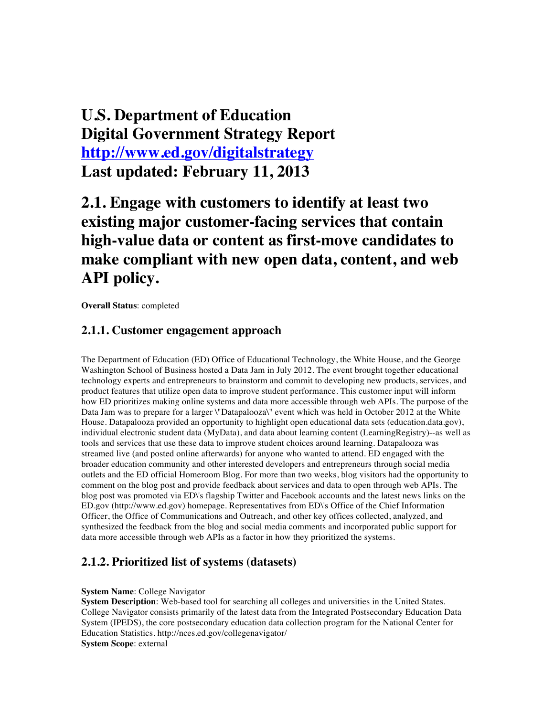## **U.S. Department of Education Digital Government Strategy Report http://www.ed.gov/digitalstrategy Last updated: February 11, 2013**

## **2.1. Engage with customers to identify at least two existing major customer-facing services that contain high-value data or content as first-move candidates to make compliant with new open data, content, and web API policy.**

**Overall Status**: completed

#### **2.1.1. Customer engagement approach**

The Department of Education (ED) Office of Educational Technology, the White House, and the George Washington School of Business hosted a Data Jam in July 2012. The event brought together educational technology experts and entrepreneurs to brainstorm and commit to developing new products, services, and product features that utilize open data to improve student performance. This customer input will inform how ED prioritizes making online systems and data more accessible through web APIs. The purpose of the Data Jam was to prepare for a larger \"Datapalooza\" event which was held in October 2012 at the White House. Datapalooza provided an opportunity to highlight open educational data sets (education.data.gov), individual electronic student data (MyData), and data about learning content (LearningRegistry)--as well as tools and services that use these data to improve student choices around learning. Datapalooza was streamed live (and posted online afterwards) for anyone who wanted to attend. ED engaged with the broader education community and other interested developers and entrepreneurs through social media outlets and the ED official Homeroom Blog. For more than two weeks, blog visitors had the opportunity to comment on the blog post and provide feedback about services and data to open through web APIs. The blog post was promoted via ED\'s flagship Twitter and Facebook accounts and the latest news links on the ED.gov (http://www.ed.gov) homepage. Representatives from ED\'s Office of the Chief Information Officer, the Office of Communications and Outreach, and other key offices collected, analyzed, and synthesized the feedback from the blog and social media comments and incorporated public support for data more accessible through web APIs as a factor in how they prioritized the systems.

### **2.1.2. Prioritized list of systems (datasets)**

#### **System Name**: College Navigator

**System Description**: Web-based tool for searching all colleges and universities in the United States. College Navigator consists primarily of the latest data from the Integrated Postsecondary Education Data System (IPEDS), the core postsecondary education data collection program for the National Center for Education Statistics. http://nces.ed.gov/collegenavigator/ **System Scope**: external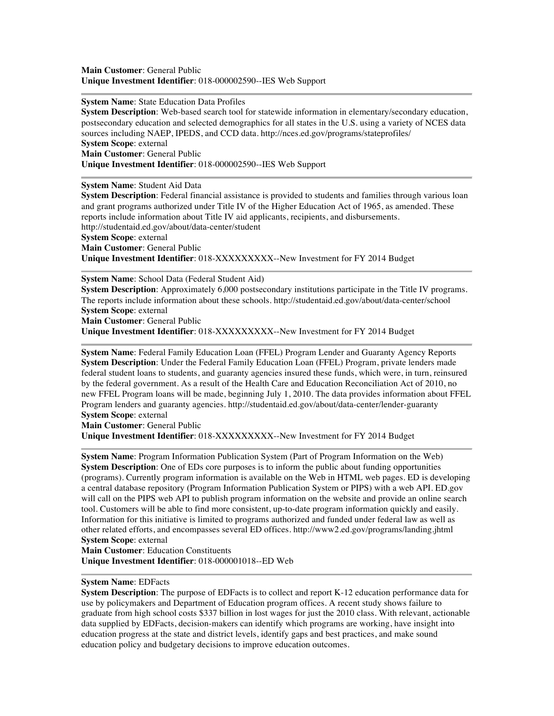**System Name**: State Education Data Profiles

**System Description**: Web-based search tool for statewide information in elementary/secondary education, postsecondary education and selected demographics for all states in the U.S. using a variety of NCES data sources including NAEP, IPEDS, and CCD data. http://nces.ed.gov/programs/stateprofiles/ **System Scope**: external **Main Customer**: General Public **Unique Investment Identifier**: 018-000002590--IES Web Support

**System Name**: Student Aid Data

**System Description**: Federal financial assistance is provided to students and families through various loan and grant programs authorized under Title IV of the Higher Education Act of 1965, as amended. These reports include information about Title IV aid applicants, recipients, and disbursements. http://studentaid.ed.gov/about/data-center/student **System Scope**: external **Main Customer**: General Public **Unique Investment Identifier**: 018-XXXXXXXXX--New Investment for FY 2014 Budget

**System Name**: School Data (Federal Student Aid)

**System Description**: Approximately 6,000 postsecondary institutions participate in the Title IV programs. The reports include information about these schools. http://studentaid.ed.gov/about/data-center/school **System Scope**: external

**Main Customer**: General Public

**Unique Investment Identifier**: 018-XXXXXXXXX--New Investment for FY 2014 Budget

**System Name**: Federal Family Education Loan (FFEL) Program Lender and Guaranty Agency Reports **System Description**: Under the Federal Family Education Loan (FFEL) Program, private lenders made federal student loans to students, and guaranty agencies insured these funds, which were, in turn, reinsured by the federal government. As a result of the Health Care and Education Reconciliation Act of 2010, no new FFEL Program loans will be made, beginning July 1, 2010. The data provides information about FFEL Program lenders and guaranty agencies. http://studentaid.ed.gov/about/data-center/lender-guaranty **System Scope**: external

**Main Customer**: General Public **Unique Investment Identifier**: 018-XXXXXXXXX--New Investment for FY 2014 Budget

**System Name**: Program Information Publication System (Part of Program Information on the Web) **System Description**: One of EDs core purposes is to inform the public about funding opportunities (programs). Currently program information is available on the Web in HTML web pages. ED is developing a central database repository (Program Information Publication System or PIPS) with a web API. ED.gov will call on the PIPS web API to publish program information on the website and provide an online search tool. Customers will be able to find more consistent, up-to-date program information quickly and easily. Information for this initiative is limited to programs authorized and funded under federal law as well as other related efforts, and encompasses several ED offices. http://www2.ed.gov/programs/landing.jhtml **System Scope**: external

**Main Customer**: Education Constituents **Unique Investment Identifier**: 018-000001018--ED Web

**System Name**: EDFacts

**System Description**: The purpose of EDFacts is to collect and report K-12 education performance data for use by policymakers and Department of Education program offices. A recent study shows failure to graduate from high school costs \$337 billion in lost wages for just the 2010 class. With relevant, actionable data supplied by EDFacts, decision-makers can identify which programs are working, have insight into education progress at the state and district levels, identify gaps and best practices, and make sound education policy and budgetary decisions to improve education outcomes.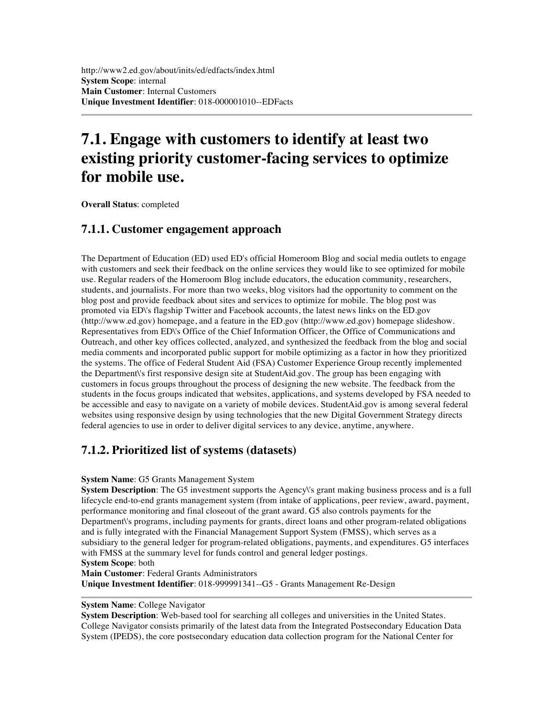## **7.1. Engage with customers to identify at least two existing priority customer-facing services to optimize for mobile use.**

**Overall Status**: completed

### **7.1.1. Customer engagement approach**

The Department of Education (ED) used ED's official Homeroom Blog and social media outlets to engage with customers and seek their feedback on the online services they would like to see optimized for mobile use. Regular readers of the Homeroom Blog include educators, the education community, researchers, students, and journalists. For more than two weeks, blog visitors had the opportunity to comment on the blog post and provide feedback about sites and services to optimize for mobile. The blog post was promoted via ED\'s flagship Twitter and Facebook accounts, the latest news links on the ED.gov (http://www.ed.gov) homepage, and a feature in the ED.gov (http://www.ed.gov) homepage slideshow. Representatives from ED\'s Office of the Chief Information Officer, the Office of Communications and Outreach, and other key offices collected, analyzed, and synthesized the feedback from the blog and social media comments and incorporated public support for mobile optimizing as a factor in how they prioritized the systems. The office of Federal Student Aid (FSA) Customer Experience Group recently implemented the Department\'s first responsive design site at StudentAid.gov. The group has been engaging with customers in focus groups throughout the process of designing the new website. The feedback from the students in the focus groups indicated that websites, applications, and systems developed by FSA needed to be accessible and easy to navigate on a variety of mobile devices. StudentAid.gov is among several federal websites using responsive design by using technologies that the new Digital Government Strategy directs federal agencies to use in order to deliver digital services to any device, anytime, anywhere.

### **7.1.2. Prioritized list of systems (datasets)**

#### **System Name**: G5 Grants Management System

**System Description**: The G5 investment supports the Agency\'s grant making business process and is a full lifecycle end-to-end grants management system (from intake of applications, peer review, award, payment, performance monitoring and final closeout of the grant award. G5 also controls payments for the Department\'s programs, including payments for grants, direct loans and other program-related obligations and is fully integrated with the Financial Management Support System (FMSS), which serves as a subsidiary to the general ledger for program-related obligations, payments, and expenditures. G5 interfaces with FMSS at the summary level for funds control and general ledger postings.

**System Scope**: both

**Main Customer**: Federal Grants Administrators

**Unique Investment Identifier**: 018-999991341--G5 - Grants Management Re-Design

#### **System Name**: College Navigator

**System Description**: Web-based tool for searching all colleges and universities in the United States. College Navigator consists primarily of the latest data from the Integrated Postsecondary Education Data System (IPEDS), the core postsecondary education data collection program for the National Center for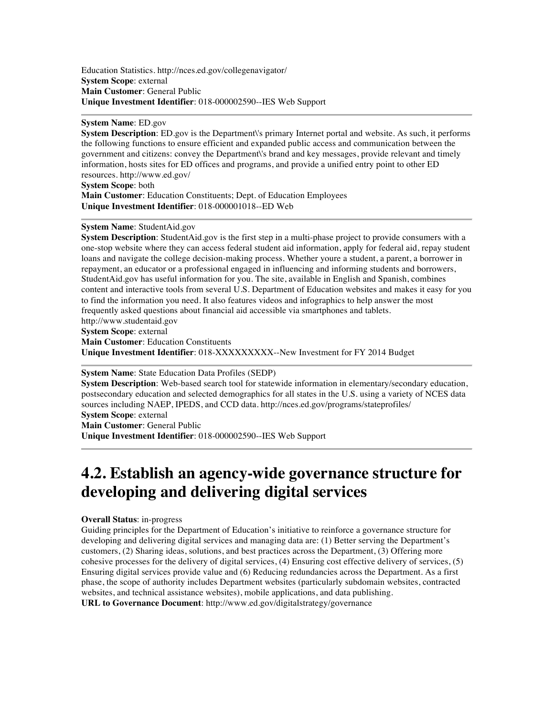Education Statistics. http://nces.ed.gov/collegenavigator/ **System Scope**: external **Main Customer**: General Public **Unique Investment Identifier**: 018-000002590--IES Web Support

**System Name**: ED.gov

**System Description**: ED.gov is the Department\'s primary Internet portal and website. As such, it performs the following functions to ensure efficient and expanded public access and communication between the government and citizens: convey the Department\'s brand and key messages, provide relevant and timely information, hosts sites for ED offices and programs, and provide a unified entry point to other ED resources. http://www.ed.gov/ **System Scope**: both

**Main Customer**: Education Constituents; Dept. of Education Employees **Unique Investment Identifier**: 018-000001018--ED Web

#### **System Name**: StudentAid.gov

**System Description**: StudentAid.gov is the first step in a multi-phase project to provide consumers with a one-stop website where they can access federal student aid information, apply for federal aid, repay student loans and navigate the college decision-making process. Whether youre a student, a parent, a borrower in repayment, an educator or a professional engaged in influencing and informing students and borrowers, StudentAid.gov has useful information for you. The site, available in English and Spanish, combines content and interactive tools from several U.S. Department of Education websites and makes it easy for you to find the information you need. It also features videos and infographics to help answer the most frequently asked questions about financial aid accessible via smartphones and tablets. http://www.studentaid.gov

**System Scope**: external

**Main Customer**: Education Constituents

**Unique Investment Identifier**: 018-XXXXXXXXX--New Investment for FY 2014 Budget

**System Name**: State Education Data Profiles (SEDP)

**System Description**: Web-based search tool for statewide information in elementary/secondary education, postsecondary education and selected demographics for all states in the U.S. using a variety of NCES data sources including NAEP, IPEDS, and CCD data. http://nces.ed.gov/programs/stateprofiles/ **System Scope**: external

**Main Customer**: General Public **Unique Investment Identifier**: 018-000002590--IES Web Support

## **4.2. Establish an agency-wide governance structure for developing and delivering digital services**

#### **Overall Status**: in-progress

Guiding principles for the Department of Education's initiative to reinforce a governance structure for developing and delivering digital services and managing data are: (1) Better serving the Department's customers, (2) Sharing ideas, solutions, and best practices across the Department, (3) Offering more cohesive processes for the delivery of digital services, (4) Ensuring cost effective delivery of services, (5) Ensuring digital services provide value and (6) Reducing redundancies across the Department. As a first phase, the scope of authority includes Department websites (particularly subdomain websites, contracted websites, and technical assistance websites), mobile applications, and data publishing. **URL to Governance Document**: http://www.ed.gov/digitalstrategy/governance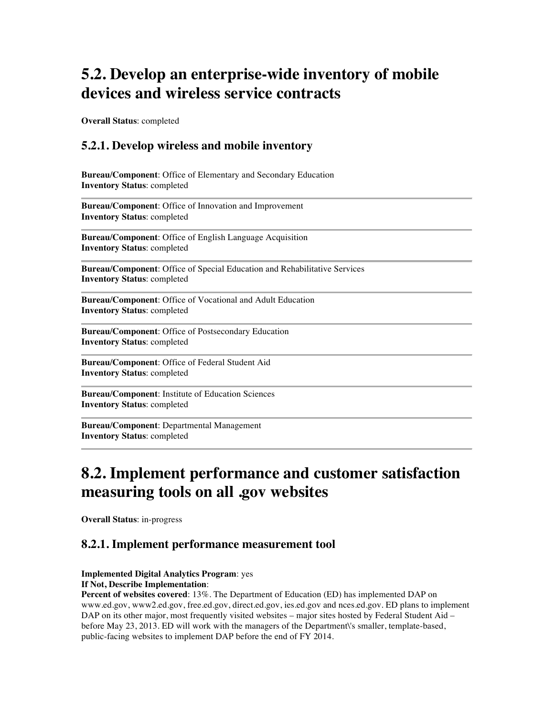## **5.2. Develop an enterprise-wide inventory of mobile devices and wireless service contracts**

**Overall Status**: completed

### **5.2.1. Develop wireless and mobile inventory**

**Bureau/Component**: Office of Elementary and Secondary Education **Inventory Status**: completed

**Bureau/Component**: Office of Innovation and Improvement **Inventory Status**: completed

**Bureau/Component**: Office of English Language Acquisition **Inventory Status**: completed

**Bureau/Component**: Office of Special Education and Rehabilitative Services **Inventory Status**: completed

**Bureau/Component**: Office of Vocational and Adult Education **Inventory Status**: completed

**Bureau/Component**: Office of Postsecondary Education **Inventory Status**: completed

**Bureau/Component**: Office of Federal Student Aid **Inventory Status**: completed

**Bureau/Component**: Institute of Education Sciences **Inventory Status**: completed

**Bureau/Component**: Departmental Management **Inventory Status**: completed

### **8.2. Implement performance and customer satisfaction measuring tools on all .gov websites**

**Overall Status**: in-progress

### **8.2.1. Implement performance measurement tool**

#### **Implemented Digital Analytics Program**: yes

#### **If Not, Describe Implementation**:

**Percent of websites covered**: 13%. The Department of Education (ED) has implemented DAP on www.ed.gov, www2.ed.gov, free.ed.gov, direct.ed.gov, ies.ed.gov and nces.ed.gov. ED plans to implement DAP on its other major, most frequently visited websites – major sites hosted by Federal Student Aid – before May 23, 2013. ED will work with the managers of the Department\'s smaller, template-based, public-facing websites to implement DAP before the end of FY 2014.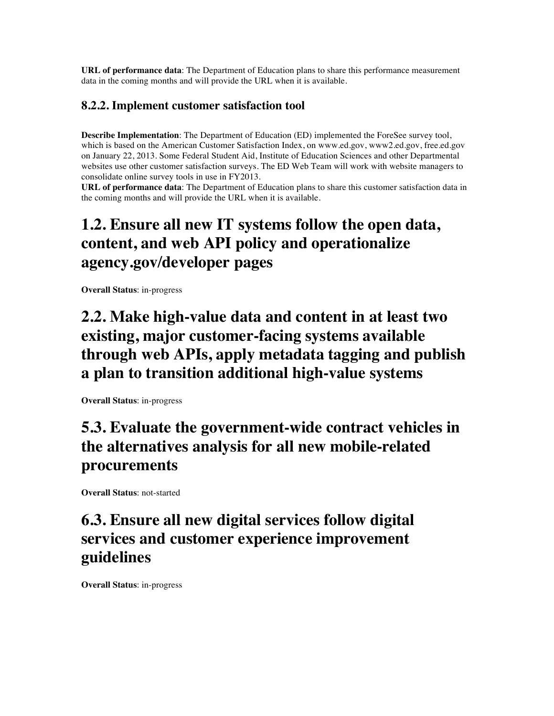**URL of performance data**: The Department of Education plans to share this performance measurement data in the coming months and will provide the URL when it is available.

### **8.2.2. Implement customer satisfaction tool**

**Describe Implementation**: The Department of Education (ED) implemented the ForeSee survey tool, which is based on the American Customer Satisfaction Index, on www.ed.gov, www2.ed.gov, free.ed.gov on January 22, 2013. Some Federal Student Aid, Institute of Education Sciences and other Departmental websites use other customer satisfaction surveys. The ED Web Team will work with website managers to consolidate online survey tools in use in FY2013.

**URL of performance data**: The Department of Education plans to share this customer satisfaction data in the coming months and will provide the URL when it is available.

# **1.2. Ensure all new IT systems follow the open data, content, and web API policy and operationalize agency.gov/developer pages**

**Overall Status**: in-progress

## **2.2. Make high-value data and content in at least two existing, major customer-facing systems available through web APIs, apply metadata tagging and publish a plan to transition additional high-value systems**

**Overall Status**: in-progress

## **5.3. Evaluate the government-wide contract vehicles in the alternatives analysis for all new mobile-related procurements**

**Overall Status**: not-started

## **6.3. Ensure all new digital services follow digital services and customer experience improvement guidelines**

**Overall Status**: in-progress